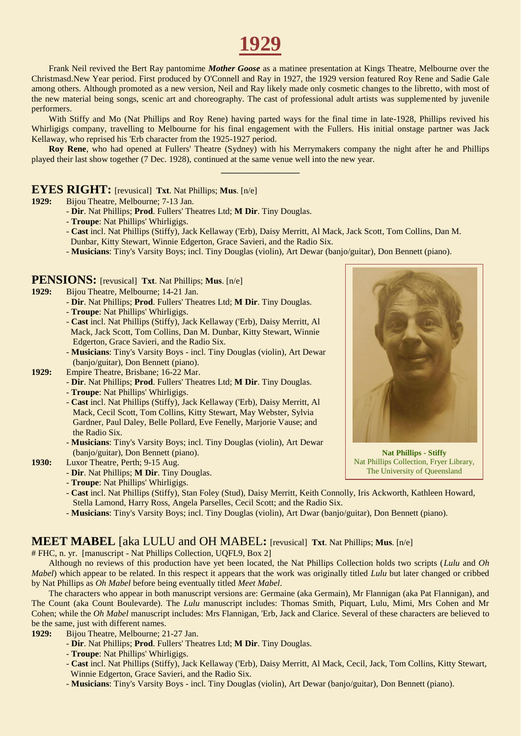# **1929**

Frank Neil revived the Bert Ray pantomime *Mother Goose* as a matinee presentation at Kings Theatre, Melbourne over the Christmasd.New Year period. First produced by O'Connell and Ray in 1927, the 1929 version featured Roy Rene and Sadie Gale among others. Although promoted as a new version, Neil and Ray likely made only cosmetic changes to the libretto, with most of the new material being songs, scenic art and choreography. The cast of professional adult artists was supplemented by juvenile performers.

With Stiffy and Mo (Nat Phillips and Roy Rene) having parted ways for the final time in late-1928, Phillips revived his Whirligigs company, travelling to Melbourne for his final engagement with the Fullers. His initial onstage partner was Jack Kellaway, who reprised his 'Erb character from the 1925-1927 period.

**Roy Rene**, who had opened at Fullers' Theatre (Sydney) with his Merrymakers company the night after he and Phillips played their last show together (7 Dec. 1928), continued at the same venue well into the new year. **\_\_\_\_\_\_\_\_\_\_\_\_\_\_\_\_\_\_**

#### **EYES RIGHT:** [revusical] **Txt**. Nat Phillips; **Mus**. [n/e]

- **1929:** Bijou Theatre, Melbourne; 7-13 Jan.
	- **Dir**. Nat Phillips; **Prod**. Fullers' Theatres Ltd; **M Dir**. Tiny Douglas.
	- **Troupe**: Nat Phillips' Whirligigs.
	- **Cast** incl. Nat Phillips (Stiffy), Jack Kellaway ('Erb), Daisy Merritt, Al Mack, Jack Scott, Tom Collins, Dan M.
	- Dunbar, Kitty Stewart, Winnie Edgerton, Grace Savieri, and the Radio Six.
	- **Musicians**: Tiny's Varsity Boys; incl. Tiny Douglas (violin), Art Dewar (banjo/guitar), Don Bennett (piano).

#### **PENSIONS:** [revusical] **Txt**. Nat Phillips; **Mus**. [n/e]

- **1929:** Bijou Theatre, Melbourne; 14-21 Jan.
	- **Dir**. Nat Phillips; **Prod**. Fullers' Theatres Ltd; **M Dir**. Tiny Douglas.
	- **Troupe**: Nat Phillips' Whirligigs.
	- **Cast** incl. Nat Phillips (Stiffy), Jack Kellaway ('Erb), Daisy Merritt, Al Mack, Jack Scott, Tom Collins, Dan M. Dunbar, Kitty Stewart, Winnie Edgerton, Grace Savieri, and the Radio Six.
	- **Musicians**: Tiny's Varsity Boys incl. Tiny Douglas (violin), Art Dewar (banjo/guitar), Don Bennett (piano).
- **1929:** Empire Theatre, Brisbane; 16-22 Mar.
	- **Dir**. Nat Phillips; **Prod**. Fullers' Theatres Ltd; **M Dir**. Tiny Douglas.
	- **Troupe**: Nat Phillips' Whirligigs.
	- **Cast** incl. Nat Phillips (Stiffy), Jack Kellaway ('Erb), Daisy Merritt, Al Mack, Cecil Scott, Tom Collins, Kitty Stewart, May Webster, Sylvia Gardner, Paul Daley, Belle Pollard, Eve Fenelly, Marjorie Vause; and the Radio Six.
	- **Musicians**: Tiny's Varsity Boys; incl. Tiny Douglas (violin), Art Dewar (banjo/guitar), Don Bennett (piano).
- **1930:** Luxor Theatre, Perth; 9-15 Aug.
	- **Dir**. Nat Phillips; **M Dir**. Tiny Douglas.
	- **Troupe**: Nat Phillips' Whirligigs.
	- **Cast** incl. Nat Phillips (Stiffy), Stan Foley (Stud), Daisy Merritt, Keith Connolly, Iris Ackworth, Kathleen Howard, Stella Lamond, Harry Ross, Angela Parselles, Cecil Scott; and the Radio Six.
	- **Musicians**: Tiny's Varsity Boys; incl. Tiny Douglas (violin), Art Dwar (banjo/guitar), Don Bennett (piano).

#### **MEET MABEL** [aka LULU and OH MABEL**:** [revusical] **Txt**. Nat Phillips; **Mus**. [n/e]

# FHC, n. yr. [manuscript - Nat Phillips Collection, UQFL9, Box 2]

Although no reviews of this production have yet been located, the Nat Phillips Collection holds two scripts (*Lulu* and *Oh Mabel*) which appear to be related. In this respect it appears that the work was originally titled *Lulu* but later changed or cribbed by Nat Phillips as *Oh Mabel* before being eventually titled *Meet Mabel*.

The characters who appear in both manuscript versions are: Germaine (aka Germain), Mr Flannigan (aka Pat Flannigan), and The Count (aka Count Boulevarde). The *Lulu* manuscript includes: Thomas Smith, Piquart, Lulu, Mimi, Mrs Cohen and Mr Cohen; while the *Oh Mabel* manuscript includes: Mrs Flannigan, 'Erb, Jack and Clarice. Several of these characters are believed to be the same, just with different names.

- **1929:** Bijou Theatre, Melbourne; 21-27 Jan.
	- **Dir**. Nat Phillips; **Prod**. Fullers' Theatres Ltd; **M Dir**. Tiny Douglas.
	- **Troupe**: Nat Phillips' Whirligigs.
	- **Cast** incl. Nat Phillips (Stiffy), Jack Kellaway ('Erb), Daisy Merritt, Al Mack, Cecil, Jack, Tom Collins, Kitty Stewart, Winnie Edgerton, Grace Savieri, and the Radio Six.
	- **Musicians**: Tiny's Varsity Boys incl. Tiny Douglas (violin), Art Dewar (banjo/guitar), Don Bennett (piano).

**Nat Phillips - Stiffy** Nat Phillips Collection, Fryer Library, The University of Queensland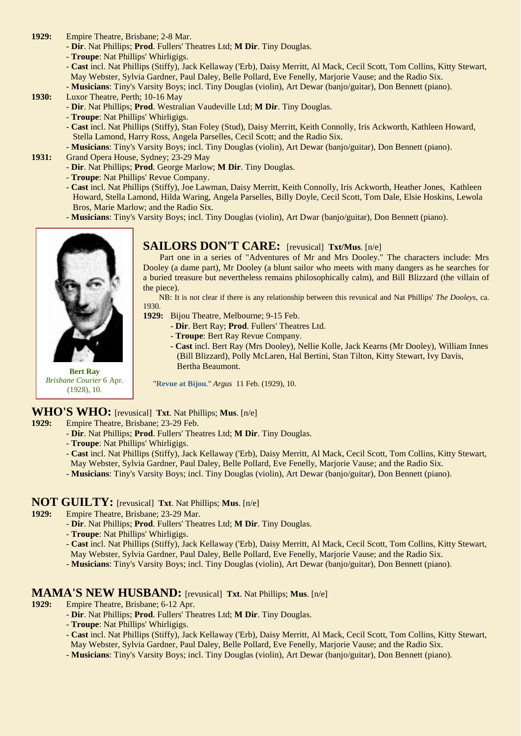- **1929:** Empire Theatre, Brisbane; 2-8 Mar.
	- **Dir**. Nat Phillips; **Prod**. Fullers' Theatres Ltd; **M Dir**. Tiny Douglas.
	- **Troupe**: Nat Phillips' Whirligigs.
	- **Cast** incl. Nat Phillips (Stiffy), Jack Kellaway ('Erb), Daisy Merritt, Al Mack, Cecil Scott, Tom Collins, Kitty Stewart, May Webster, Sylvia Gardner, Paul Daley, Belle Pollard, Eve Fenelly, Marjorie Vause; and the Radio Six.
	- **Musicians**: Tiny's Varsity Boys; incl. Tiny Douglas (violin), Art Dewar (banjo/guitar), Don Bennett (piano).
- **1930:** Luxor Theatre, Perth; 10-16 May
	- **Dir**. Nat Phillips; **Prod**. Westralian Vaudeville Ltd; **M Dir**. Tiny Douglas.
	- **Troupe**: Nat Phillips' Whirligigs.
	- **Cast** incl. Nat Phillips (Stiffy), Stan Foley (Stud), Daisy Merritt, Keith Connolly, Iris Ackworth, Kathleen Howard, Stella Lamond, Harry Ross, Angela Parselles, Cecil Scott; and the Radio Six.
	- **Musicians**: Tiny's Varsity Boys; incl. Tiny Douglas (violin), Art Dewar (banjo/guitar), Don Bennett (piano).
- **1931:** Grand Opera House, Sydney; 23-29 May
	- **Dir**. Nat Phillips; **Prod**. George Marlow; **M Dir**. Tiny Douglas.
	- **Troupe**: Nat Phillips' Revue Company.
	- **Cast** incl. Nat Phillips (Stiffy), Joe Lawman, Daisy Merritt, Keith Connolly, Iris Ackworth, Heather Jones, Kathleen Howard, Stella Lamond, Hilda Waring, Angela Parselles, Billy Doyle, Cecil Scott, Tom Dale, Elsie Hoskins, Lewola Bros, Marie Marlow; and the Radio Six.
	- **Musicians**: Tiny's Varsity Boys; incl. Tiny Douglas (violin), Art Dwar (banjo/guitar), Don Bennett (piano).



**Bert Ray** *Brisbane Courier* 6 Apr. (1928), 10.

### **SAILORS DON'T CARE:** [revusical] **Txt/Mus**. [n/e]

 Part one in a series of "Adventures of Mr and Mrs Dooley." The characters include: Mrs Dooley (a dame part), Mr Dooley (a blunt sailor who meets with many dangers as he searches for a buried treasure but nevertheless remains philosophically calm), and Bill Blizzard (the villain of the piece).

 NB: It is not clear if there is any relationship between this revusical and Nat Phillips' *The Dooleys*, ca. 1930.

- **1929:** Bijou Theatre, Melbourne; 9-15 Feb.
	- **Dir**. Bert Ray; **Prod**. Fullers' Theatres Ltd.
	- **Troupe**: Bert Ray Revue Company.
	- **Cast** incl. Bert Ray (Mrs Dooley), Nellie Kolle, Jack Kearns (Mr Dooley), William Innes (Bill Blizzard), Polly McLaren, Hal Bertini, Stan Tilton, Kitty Stewart, Ivy Davis, Bertha Beaumont.

"**[Revue at Bijou](http://trove.nla.gov.au/ndp/del/page/470327)**." *Argus* 11 Feb. (1929), 10.

### **WHO'S WHO:** [revusical] **Txt**. Nat Phillips; **Mus**. [n/e]

- **1929:** Empire Theatre, Brisbane; 23-29 Feb.
	- **Dir**. Nat Phillips; **Prod**. Fullers' Theatres Ltd; **M Dir**. Tiny Douglas.
	- **Troupe**: Nat Phillips' Whirligigs.
	- **Cast** incl. Nat Phillips (Stiffy), Jack Kellaway ('Erb), Daisy Merritt, Al Mack, Cecil Scott, Tom Collins, Kitty Stewart, May Webster, Sylvia Gardner, Paul Daley, Belle Pollard, Eve Fenelly, Marjorie Vause; and the Radio Six.
	-
	- **Musicians**: Tiny's Varsity Boys; incl. Tiny Douglas (violin), Art Dewar (banjo/guitar), Don Bennett (piano).

# **NOT GUILTY:** [revusical] **Txt**. Nat Phillips; **Mus**. [n/e] **1929:** Empire Theatre, Brisbane; 23-29 Mar.

- **1929:** Empire Theatre, Brisbane; 23-29 Mar.
	- **Dir**. Nat Phillips; **Prod**. Fullers' Theatres Ltd; **M Dir**. Tiny Douglas.
	- **Troupe**: Nat Phillips' Whirligigs.
	- **Cast** incl. Nat Phillips (Stiffy), Jack Kellaway ('Erb), Daisy Merritt, Al Mack, Cecil Scott, Tom Collins, Kitty Stewart,
	- May Webster, Sylvia Gardner, Paul Daley, Belle Pollard, Eve Fenelly, Marjorie Vause; and the Radio Six.
	- **Musicians**: Tiny's Varsity Boys; incl. Tiny Douglas (violin), Art Dewar (banjo/guitar), Don Bennett (piano).

#### **MAMA'S NEW HUSBAND:** [revusical] **Txt**. Nat Phillips; **Mus**. [n/e]

- **1929:** Empire Theatre, Brisbane; 6-12 Apr.
	- **Dir**. Nat Phillips; **Prod**. Fullers' Theatres Ltd; **M Dir**. Tiny Douglas.
	- **Troupe**: Nat Phillips' Whirligigs.
	- **Cast** incl. Nat Phillips (Stiffy), Jack Kellaway ('Erb), Daisy Merritt, Al Mack, Cecil Scott, Tom Collins, Kitty Stewart,
	- May Webster, Sylvia Gardner, Paul Daley, Belle Pollard, Eve Fenelly, Marjorie Vause; and the Radio Six.
	- **Musicians**: Tiny's Varsity Boys; incl. Tiny Douglas (violin), Art Dewar (banjo/guitar), Don Bennett (piano).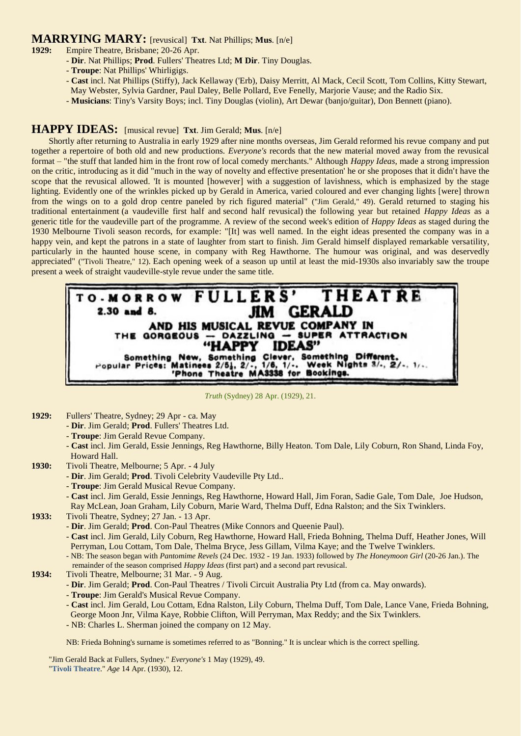### **MARRYING MARY:** [revusical] **Txt**. Nat Phillips; **Mus**. [n/e]

- **1929:** Empire Theatre, Brisbane; 20-26 Apr.
	- **Dir**. Nat Phillips; **Prod**. Fullers' Theatres Ltd; **M Dir**. Tiny Douglas.
	- **Troupe**: Nat Phillips' Whirligigs.
	- **Cast** incl. Nat Phillips (Stiffy), Jack Kellaway ('Erb), Daisy Merritt, Al Mack, Cecil Scott, Tom Collins, Kitty Stewart, May Webster, Sylvia Gardner, Paul Daley, Belle Pollard, Eve Fenelly, Marjorie Vause; and the Radio Six.
	- **Musicians**: Tiny's Varsity Boys; incl. Tiny Douglas (violin), Art Dewar (banjo/guitar), Don Bennett (piano).

### **HAPPY IDEAS:** [musical revue] **Txt**. Jim Gerald; **Mus**. [n/e]

Shortly after returning to Australia in early 1929 after nine months overseas, Jim Gerald reformed his revue company and put together a repertoire of both old and new productions. *Everyone's* records that the new material moved away from the revusical format – "the stuff that landed him in the front row of local comedy merchants." Although *Happy Ideas*, made a strong impression on the critic, introducing as it did "much in the way of novelty and effective presentation' he or she proposes that it didn't have the scope that the revusical allowed. 'It is mounted [however] with a suggestion of lavishness, which is emphasized by the stage lighting. Evidently one of the wrinkles picked up by Gerald in America, varied coloured and ever changing lights [were] thrown from the wings on to a gold drop centre paneled by rich figured material" ("Jim Gerald," 49). Gerald returned to staging his traditional entertainment (a vaudeville first half and second half revusical) the following year but retained *Happy Ideas* as a generic title for the vaudeville part of the programme. A review of the second week's edition of *Happy Ideas* as staged during the 1930 Melbourne Tivoli season records, for example: "[It] was well named. In the eight ideas presented the company was in a happy vein, and kept the patrons in a state of laughter from start to finish. Jim Gerald himself displayed remarkable versatility, particularly in the haunted house scene, in company with Reg Hawthorne. The humour was original, and was deservedly appreciated" ("Tivoli Theatre," 12). Each opening week of a season up until at least the mid-1930s also invariably saw the troupe present a week of straight vaudeville-style revue under the same title.



#### *Truth* (Sydney) 28 Apr. (1929), 21.

- **1929:** Fullers' Theatre, Sydney; 29 Apr ca. May
	- **Dir**. Jim Gerald; **Prod**. Fullers' Theatres Ltd.
	- **Troupe**: Jim Gerald Revue Company.
	- **Cast** incl. Jim Gerald, Essie Jennings, Reg Hawthorne, Billy Heaton. Tom Dale, Lily Coburn, Ron Shand, Linda Foy, Howard Hall.
- **1930:** Tivoli Theatre, Melbourne; 5 Apr. 4 July
	- **Dir**. Jim Gerald; **Prod**. Tivoli Celebrity Vaudeville Pty Ltd..
	- **Troupe**: Jim Gerald Musical Revue Company.
	- **Cast** incl. Jim Gerald, Essie Jennings, Reg Hawthorne, Howard Hall, Jim Foran, Sadie Gale, Tom Dale, Joe Hudson, Ray McLean, Joan Graham, Lily Coburn, Marie Ward, Thelma Duff, Edna Ralston; and the Six Twinklers.
- **1933:** Tivoli Theatre, Sydney; 27 Jan. 13 Apr.
	- **Dir**. Jim Gerald; **Prod**. Con-Paul Theatres (Mike Connors and Queenie Paul).
	- **Cast** incl. Jim Gerald, Lily Coburn, Reg Hawthorne, Howard Hall, Frieda Bohning, Thelma Duff, Heather Jones, Will Perryman, Lou Cottam, Tom Dale, Thelma Bryce, Jess Gillam, Vilma Kaye; and the Twelve Twinklers.
	- NB: The season began with *Pantomime Revels* (24 Dec. 1932 19 Jan. 1933) followed by *The Honeymoon Girl* (20-26 Jan.). The remainder of the season comprised *Happy Ideas* (first part) and a second part revusical.
- **1934:** Tivoli Theatre, Melbourne; 31 Mar. 9 Aug.
	- **Dir**. Jim Gerald; **Prod**. Con-Paul Theatres / Tivoli Circuit Australia Pty Ltd (from ca. May onwards).
	- **Troupe**: Jim Gerald's Musical Revue Company.
	- **Cast** incl. Jim Gerald, Lou Cottam, Edna Ralston, Lily Coburn, Thelma Duff, Tom Dale, Lance Vane, Frieda Bohning,
	- George Moon Jnr, Vilma Kaye, Robbie Clifton, Will Perryman, Max Reddy; and the Six Twinklers.
	- NB: Charles L. Sherman joined the company on 12 May.

NB: Frieda Bohning's surname is sometimes referred to as "Bonning." It is unclear which is the correct spelling.

"Jim Gerald Back at Fullers, Sydney." *Everyone's* 1 May (1929), 49. "**[Tivoli Theatre](http://trove.nla.gov.au/ndp/del/page/18959721)**." *Age* 14 Apr. (1930), 12.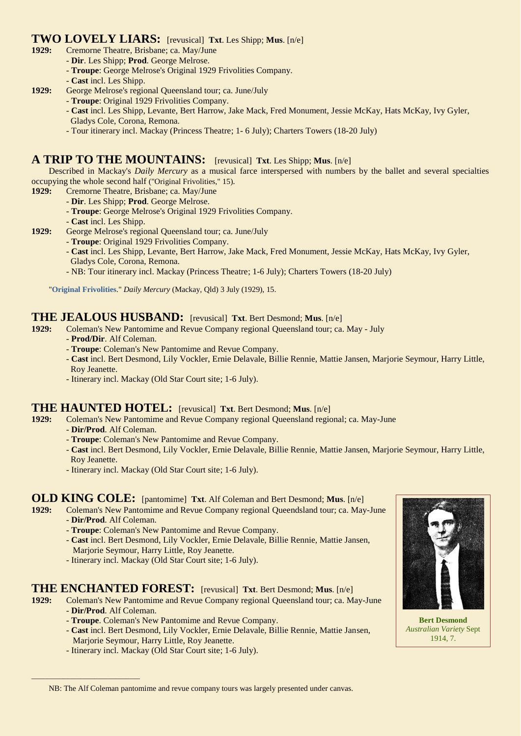### **TWO LOVELY LIARS:** [revusical] **Txt**. Les Shipp; **Mus**. [n/e]

- **1929:** Cremorne Theatre, Brisbane; ca. May/June
	- **Dir**. Les Shipp; **Prod**. George Melrose.
	- **Troupe**: George Melrose's Original 1929 Frivolities Company.
	- **Cast** incl. Les Shipp.
- **1929:** George Melrose's regional Queensland tour; ca. June/July
	- **Troupe**: Original 1929 Frivolities Company.
		- **Cast** incl. Les Shipp, Levante, Bert Harrow, Jake Mack, Fred Monument, Jessie McKay, Hats McKay, Ivy Gyler,
		- Gladys Cole, Corona, Remona.
		- Tour itinerary incl. Mackay (Princess Theatre; 1- 6 July); Charters Towers (18-20 July)

### **A TRIP TO THE MOUNTAINS:** [revusical] **Txt**. Les Shipp; **Mus**. [n/e]

Described in Mackay's *Daily Mercury* as a musical farce interspersed with numbers by the ballet and several specialties occupying the whole second half ("Original Frivolities," 15).

- **1929:** Cremorne Theatre, Brisbane; ca. May/June
	- **Dir**. Les Shipp; **Prod**. George Melrose.
	- **Troupe**: George Melrose's Original 1929 Frivolities Company.
	- **Cast** incl. Les Shipp.
- **1929:** George Melrose's regional Queensland tour; ca. June/July
	- **Troupe**: Original 1929 Frivolities Company.
	- **Cast** incl. Les Shipp, Levante, Bert Harrow, Jake Mack, Fred Monument, Jessie McKay, Hats McKay, Ivy Gyler, Gladys Cole, Corona, Remona.
	- NB: Tour itinerary incl. Mackay (Princess Theatre; 1-6 July); Charters Towers (18-20 July)

"**[Original Frivolities](http://trove.nla.gov.au/ndp/del/article/170722499)**." *Daily Mercury* (Mackay, Qld) 3 July (1929), 15.

## **THE JEALOUS HUSBAND:** [revusical] **Txt**. Bert Desmond; Mus. [n/e] 1929: Coleman's New Pantomime and Revue Company regional Queensland tour: ca.

**1929:** Coleman's New Pantomime and Revue Company regional Queensland tour; ca. May - July

- **Prod/Dir**. Alf Coleman.
- **Troupe**: Coleman's New Pantomime and Revue Company.
- **Cast** incl. Bert Desmond, Lily Vockler, Ernie Delavale, Billie Rennie, Mattie Jansen, Marjorie Seymour, Harry Little, Roy Jeanette.
- Itinerary incl. Mackay (Old Star Court site; 1-6 July).

### **THE HAUNTED HOTEL:** [revusical] **Txt**. Bert Desmond; Mus. [n/e] **1929:** Coleman's New Pantomime and Revue Company regional Queensland region

- **1929:** Coleman's New Pantomime and Revue Company regional Queensland regional; ca. May-June
	- **Dir/Prod**. Alf Coleman.

\_\_\_\_\_\_\_\_\_\_\_\_\_\_\_\_\_\_\_\_\_\_\_\_\_\_\_\_\_\_\_

- **Troupe**: Coleman's New Pantomime and Revue Company.
- **Cast** incl. Bert Desmond, Lily Vockler, Ernie Delavale, Billie Rennie, Mattie Jansen, Marjorie Seymour, Harry Little, Roy Jeanette.
- Itinerary incl. Mackay (Old Star Court site; 1-6 July).

### **OLD KING COLE:** [pantomime] **Txt**. Alf Coleman and Bert Desmond; Mus. [n/e] 1929: Coleman's New Pantomime and Revue Company regional Oueendsland tour: ca. May

**1929:** Coleman's New Pantomime and Revue Company regional Queendsland tour; ca. May-June - **Dir/Prod**. Alf Coleman.

- **Troupe**: Coleman's New Pantomime and Revue Company.
- **Cast** incl. Bert Desmond, Lily Vockler, Ernie Delavale, Billie Rennie, Mattie Jansen, Marjorie Seymour, Harry Little, Roy Jeanette.
- Itinerary incl. Mackay (Old Star Court site; 1-6 July).

### **THE ENCHANTED FOREST:** [revusical] **Txt**. Bert Desmond; **Mus**. [n/e]

- **1929:** Coleman's New Pantomime and Revue Company regional Queensland tour; ca. May-June - **Dir/Prod**. Alf Coleman.
	- **Troupe**. Coleman's New Pantomime and Revue Company.
	- **Cast** incl. Bert Desmond, Lily Vockler, Ernie Delavale, Billie Rennie, Mattie Jansen, Marjorie Seymour, Harry Little, Roy Jeanette.
	- Itinerary incl. Mackay (Old Star Court site; 1-6 July).



**Bert Desmond** *Australian Variety* Sept 1914, 7.

NB: The Alf Coleman pantomime and revue company tours was largely presented under canvas.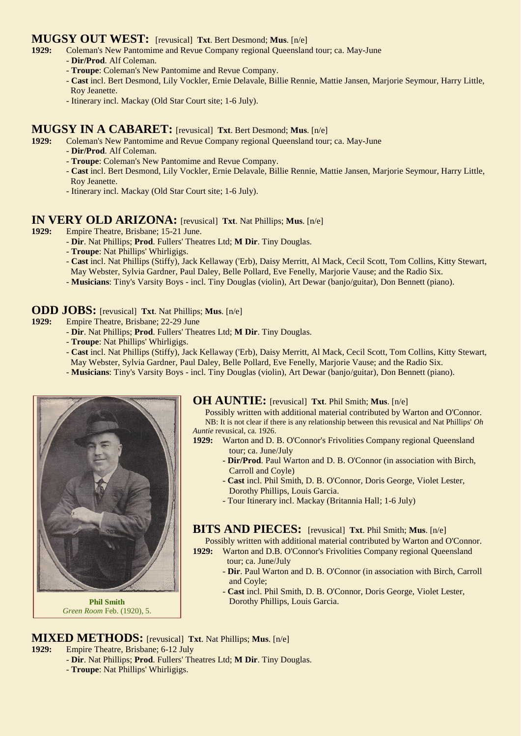### **MUGSY OUT WEST:** [revusical] **Txt**. Bert Desmond; **Mus**. [n/e]

- **1929:** Coleman's New Pantomime and Revue Company regional Queensland tour; ca. May-June
	- **Dir/Prod**. Alf Coleman.
	- **Troupe**: Coleman's New Pantomime and Revue Company.
	- **Cast** incl. Bert Desmond, Lily Vockler, Ernie Delavale, Billie Rennie, Mattie Jansen, Marjorie Seymour, Harry Little, Roy Jeanette.
	- Itinerary incl. Mackay (Old Star Court site; 1-6 July).

# **MUGSY IN A CABARET:** [revusical] **Txt**. Bert Desmond; **Mus**. [n/e] **1929:** Coleman's New Pantomime and Revue Company regional Queensland tour

- **1929:** Coleman's New Pantomime and Revue Company regional Queensland tour; ca. May-June
	- **Dir/Prod**. Alf Coleman.
	- **Troupe**: Coleman's New Pantomime and Revue Company.
	- **Cast** incl. Bert Desmond, Lily Vockler, Ernie Delavale, Billie Rennie, Mattie Jansen, Marjorie Seymour, Harry Little, Roy Jeanette.
	- Itinerary incl. Mackay (Old Star Court site; 1-6 July).

#### **IN VERY OLD ARIZONA:** [revusical] **Txt**. Nat Phillips; **Mus**. [n/e]

- **1929:** Empire Theatre, Brisbane; 15-21 June.
	- **Dir**. Nat Phillips; **Prod**. Fullers' Theatres Ltd; **M Dir**. Tiny Douglas.
	- **Troupe**: Nat Phillips' Whirligigs.
	- **Cast** incl. Nat Phillips (Stiffy), Jack Kellaway ('Erb), Daisy Merritt, Al Mack, Cecil Scott, Tom Collins, Kitty Stewart, May Webster, Sylvia Gardner, Paul Daley, Belle Pollard, Eve Fenelly, Marjorie Vause; and the Radio Six.
	- **Musicians**: Tiny's Varsity Boys incl. Tiny Douglas (violin), Art Dewar (banjo/guitar), Don Bennett (piano).

### **ODD JOBS:** [revusical] **Txt**. Nat Phillips; **Mus**. [n/e]

- **1929:** Empire Theatre, Brisbane; 22-29 June
	- **Dir**. Nat Phillips; **Prod**. Fullers' Theatres Ltd; **M Dir**. Tiny Douglas.
	- **Troupe**: Nat Phillips' Whirligigs.
	- **Cast** incl. Nat Phillips (Stiffy), Jack Kellaway ('Erb), Daisy Merritt, Al Mack, Cecil Scott, Tom Collins, Kitty Stewart, May Webster, Sylvia Gardner, Paul Daley, Belle Pollard, Eve Fenelly, Marjorie Vause; and the Radio Six.
	- **Musicians**: Tiny's Varsity Boys incl. Tiny Douglas (violin), Art Dewar (banjo/guitar), Don Bennett (piano).



**Phil Smith** *Green Room* Feb. (1920), 5.

**OH AUNTIE:** [revusical] **Txt**. Phil Smith; **Mus**. [n/e]

Possibly written with additional material contributed by Warton and O'Connor. NB: It is not clear if there is any relationship between this revusical and Nat Phillips' *Oh Auntie* revusical, ca. 1926.

- 1929: Warton and D. B. O'Connor's Frivolities Company regional Queensland tour; ca. June/July
	- **Dir/Prod**. Paul Warton and D. B. O'Connor (in association with Birch, Carroll and Coyle)
	- **Cast** incl. Phil Smith, D. B. O'Connor, Doris George, Violet Lester, Dorothy Phillips, Louis Garcia.
	- Tour Itinerary incl. Mackay (Britannia Hall; 1-6 July)

**BITS AND PIECES:** [revusical] **Txt**. Phil Smith; **Mus**. [n/e]

Possibly written with additional material contributed by Warton and O'Connor.

- **1929:** Warton and D.B. O'Connor's Frivolities Company regional Queensland tour; ca. June/July
	- **Dir**. Paul Warton and D. B. O'Connor (in association with Birch, Carroll and Coyle;
	- **Cast** incl. Phil Smith, D. B. O'Connor, Doris George, Violet Lester, Dorothy Phillips, Louis Garcia.

**MIXED METHODS:** [revusical] **Txt**. Nat Phillips; **Mus**. [n/e]

**1929:** Empire Theatre, Brisbane; 6-12 July

- **Dir**. Nat Phillips; **Prod**. Fullers' Theatres Ltd; **M Dir**. Tiny Douglas.
- **Troupe**: Nat Phillips' Whirligigs.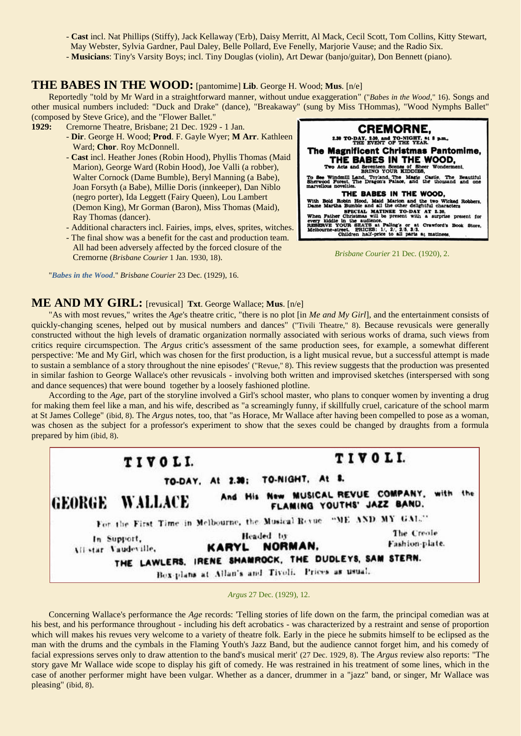- **Cast** incl. Nat Phillips (Stiffy), Jack Kellaway ('Erb), Daisy Merritt, Al Mack, Cecil Scott, Tom Collins, Kitty Stewart,
- May Webster, Sylvia Gardner, Paul Daley, Belle Pollard, Eve Fenelly, Marjorie Vause; and the Radio Six.
- **Musicians**: Tiny's Varsity Boys; incl. Tiny Douglas (violin), Art Dewar (banjo/guitar), Don Bennett (piano).

#### **THE BABES IN THE WOOD:** [pantomime] **Lib**. George H. Wood; **Mus**. [n/e]

Reportedly "told by Mr Ward in a straightforward manner, without undue exaggeration" ("*Babes in the Wood,*" 16). Songs and other musical numbers included: "Duck and Drake" (dance), "Breakaway" (sung by Miss THommas), "Wood Nymphs Ballet" (composed by Steve Grice), and the "Flower Ballet."

**1929:** Cremorne Theatre, Brisbane; 21 Dec. 1929 - 1 Jan.

- **Dir**. George H. Wood; **Prod**. F. Gayle Wyer; **M Arr**. Kathleen Ward; **Chor**. Roy McDonnell.
- **Cast** incl. Heather Jones (Robin Hood), Phyllis Thomas (Maid Marion), George Ward (Robin Hood), Joe Valli (a robber), Walter Cornock (Dame Bumble), Beryl Manning (a Babe), Joan Forsyth (a Babe), Millie Doris (innkeeper), Dan Niblo (negro porter), Ida Leggett (Fairy Queen), Lou Lambert (Demon King), Mr Gorman (Baron), Miss Thomas (Maid), Ray Thomas (dancer).
- Additional characters incl. Fairies, imps, elves, sprites, witches.
- The final show was a benefit for the cast and production team. All had been adversely affected by the forced closure of the Cremorne (*Brisbane Courier* 1 Jan. 1930, 18).

"*[Babes in the Wood](http://trove.nla.gov.au/ndp/del/article/21467821)*." *Brisbane Courier* 23 Dec. (1929), 16.



*Brisbane Courier* 21 Dec. (1920), 2.

#### **ME AND MY GIRL:** [revusical] **Txt**. George Wallace; **Mus**. [n/e]

"As with most revues," writes the *Age*'s theatre critic, "there is no plot [in *Me and My Girl*], and the entertainment consists of quickly-changing scenes, helped out by musical numbers and dances" ("Tivili Theatre," 8). Because revusicals were generally constructed without the high levels of dramatic organization normally associated with serious works of drama, such views from critics require circumspection. The *Argus* critic's assessment of the same production sees, for example, a somewhat different perspective: 'Me and My Girl, which was chosen for the first production, is a light musical revue, but a successful attempt is made to sustain a semblance of a story throughout the nine episodes' ("Revue," 8). This review suggests that the production was presented in similar fashion to George Wallace's other revusicals - involving both written and improvised sketches (interspersed with song and dance sequences) that were bound together by a loosely fashioned plotline.

According to the *Age*, part of the storyline involved a Girl's school master, who plans to conquer women by inventing a drug for making them feel like a man, and his wife, described as "a screamingly funny, if skillfully cruel, caricature of the school marm at St James College" (ibid, 8). The *Argus* notes, too, that "as Horace, Mr Wallace after having been compelled to pose as a woman, was chosen as the subject for a professor's experiment to show that the sexes could be changed by draughts from a formula prepared by him (ibid, 8).



*Argus* 27 Dec. (1929), 12.

Concerning Wallace's performance the *Age* records: 'Telling stories of life down on the farm, the principal comedian was at his best, and his performance throughout - including his deft acrobatics - was characterized by a restraint and sense of proportion which will makes his revues very welcome to a variety of theatre folk. Early in the piece he submits himself to be eclipsed as the man with the drums and the cymbals in the Flaming Youth's Jazz Band, but the audience cannot forget him, and his comedy of facial expressions serves only to draw attention to the band's musical merit' (27 Dec. 1929, 8). The *Argus* review also reports: "The story gave Mr Wallace wide scope to display his gift of comedy. He was restrained in his treatment of some lines, which in the case of another performer might have been vulgar. Whether as a dancer, drummer in a "jazz" band, or singer, Mr Wallace was pleasing" (ibid, 8).